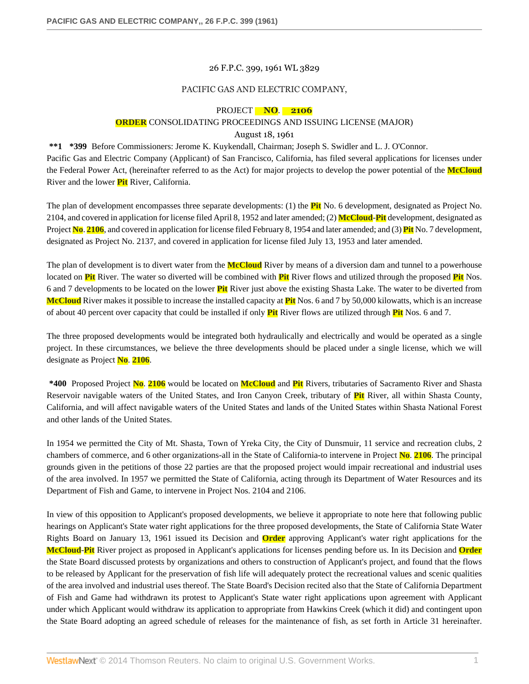#### 26 F.P.C. 399, 1961 WL 3829

#### PACIFIC GAS AND ELECTRIC COMPANY,

## PROJECT **NO**. **2106**

# **ORDER** CONSOLIDATING PROCEEDINGS AND ISSUING LICENSE (MAJOR)

## August 18, 1961

**\*\*1 \*399** Before Commissioners: Jerome K. Kuykendall, Chairman; Joseph S. Swidler and L. J. O'Connor. Pacific Gas and Electric Company (Applicant) of San Francisco, California, has filed several applications for licenses under the Federal Power Act, (hereinafter referred to as the Act) for major projects to develop the power potential of the **McCloud** River and the lower **Pit** River, California.

The plan of development encompasses three separate developments: (1) the **Pit** No. 6 development, designated as Project No. 2104, and covered in application for license filed April 8, 1952 and later amended; (2) **McCloud**-**Pit** development, designated as Project **No**. **2106**, and covered in application for license filed February 8, 1954 and later amended; and (3) **Pit** No. 7 development, designated as Project No. 2137, and covered in application for license filed July 13, 1953 and later amended.

The plan of development is to divert water from the **McCloud** River by means of a diversion dam and tunnel to a powerhouse located on **Pit** River. The water so diverted will be combined with **Pit** River flows and utilized through the proposed **Pit** Nos. 6 and 7 developments to be located on the lower **Pit** River just above the existing Shasta Lake. The water to be diverted from **McCloud** River makes it possible to increase the installed capacity at **Pit** Nos. 6 and 7 by 50,000 kilowatts, which is an increase of about 40 percent over capacity that could be installed if only **Pit** River flows are utilized through **Pit** Nos. 6 and 7.

The three proposed developments would be integrated both hydraulically and electrically and would be operated as a single project. In these circumstances, we believe the three developments should be placed under a single license, which we will designate as Project **No**. **2106**.

**\*400** Proposed Project **No**. **2106** would be located on **McCloud** and **Pit** Rivers, tributaries of Sacramento River and Shasta Reservoir navigable waters of the United States, and Iron Canyon Creek, tributary of **Pit** River, all within Shasta County, California, and will affect navigable waters of the United States and lands of the United States within Shasta National Forest and other lands of the United States.

In 1954 we permitted the City of Mt. Shasta, Town of Yreka City, the City of Dunsmuir, 11 service and recreation clubs, 2 chambers of commerce, and 6 other organizations-all in the State of California-to intervene in Project **No**. **2106**. The principal grounds given in the petitions of those 22 parties are that the proposed project would impair recreational and industrial uses of the area involved. In 1957 we permitted the State of California, acting through its Department of Water Resources and its Department of Fish and Game, to intervene in Project Nos. 2104 and 2106.

In view of this opposition to Applicant's proposed developments, we believe it appropriate to note here that following public hearings on Applicant's State water right applications for the three proposed developments, the State of California State Water Rights Board on January 13, 1961 issued its Decision and **Order** approving Applicant's water right applications for the **McCloud**-**Pit** River project as proposed in Applicant's applications for licenses pending before us. In its Decision and **Order** the State Board discussed protests by organizations and others to construction of Applicant's project, and found that the flows to be released by Applicant for the preservation of fish life will adequately protect the recreational values and scenic qualities of the area involved and industrial uses thereof. The State Board's Decision recited also that the State of California Department of Fish and Game had withdrawn its protest to Applicant's State water right applications upon agreement with Applicant under which Applicant would withdraw its application to appropriate from Hawkins Creek (which it did) and contingent upon the State Board adopting an agreed schedule of releases for the maintenance of fish, as set forth in Article 31 hereinafter.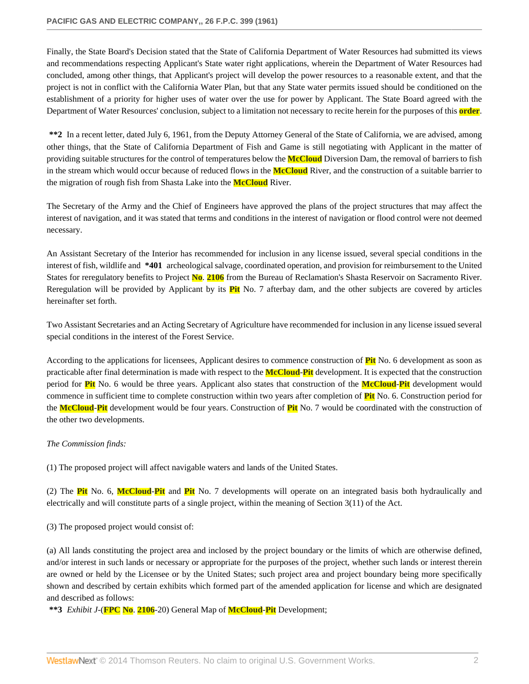Finally, the State Board's Decision stated that the State of California Department of Water Resources had submitted its views and recommendations respecting Applicant's State water right applications, wherein the Department of Water Resources had concluded, among other things, that Applicant's project will develop the power resources to a reasonable extent, and that the project is not in conflict with the California Water Plan, but that any State water permits issued should be conditioned on the establishment of a priority for higher uses of water over the use for power by Applicant. The State Board agreed with the Department of Water Resources' conclusion, subject to a limitation not necessary to recite herein for the purposes of this **order**.

**\*\*2** In a recent letter, dated July 6, 1961, from the Deputy Attorney General of the State of California, we are advised, among other things, that the State of California Department of Fish and Game is still negotiating with Applicant in the matter of providing suitable structures for the control of temperatures below the **McCloud** Diversion Dam, the removal of barriers to fish in the stream which would occur because of reduced flows in the **McCloud** River, and the construction of a suitable barrier to the migration of rough fish from Shasta Lake into the **McCloud** River.

The Secretary of the Army and the Chief of Engineers have approved the plans of the project structures that may affect the interest of navigation, and it was stated that terms and conditions in the interest of navigation or flood control were not deemed necessary.

An Assistant Secretary of the Interior has recommended for inclusion in any license issued, several special conditions in the interest of fish, wildlife and **\*401** archeological salvage, coordinated operation, and provision for reimbursement to the United States for reregulatory benefits to Project **No**. **2106** from the Bureau of Reclamation's Shasta Reservoir on Sacramento River. Reregulation will be provided by Applicant by its **Pit** No. 7 afterbay dam, and the other subjects are covered by articles hereinafter set forth.

Two Assistant Secretaries and an Acting Secretary of Agriculture have recommended for inclusion in any license issued several special conditions in the interest of the Forest Service.

According to the applications for licensees, Applicant desires to commence construction of **Pit** No. 6 development as soon as practicable after final determination is made with respect to the **McCloud**-**Pit** development. It is expected that the construction period for **Pit** No. 6 would be three years. Applicant also states that construction of the **McCloud**-**Pit** development would commence in sufficient time to complete construction within two years after completion of **Pit** No. 6. Construction period for the **McCloud**-**Pit** development would be four years. Construction of **Pit** No. 7 would be coordinated with the construction of the other two developments.

#### *The Commission finds:*

(1) The proposed project will affect navigable waters and lands of the United States.

(2) The **Pit** No. 6, **McCloud**-**Pit** and **Pit** No. 7 developments will operate on an integrated basis both hydraulically and electrically and will constitute parts of a single project, within the meaning of Section 3(11) of the Act.

(3) The proposed project would consist of:

(a) All lands constituting the project area and inclosed by the project boundary or the limits of which are otherwise defined, and/or interest in such lands or necessary or appropriate for the purposes of the project, whether such lands or interest therein are owned or held by the Licensee or by the United States; such project area and project boundary being more specifically shown and described by certain exhibits which formed part of the amended application for license and which are designated and described as follows:

**\*\*3** *Exhibit J*-(**FPC No**. **2106**-20) General Map of **McCloud**-**Pit** Development;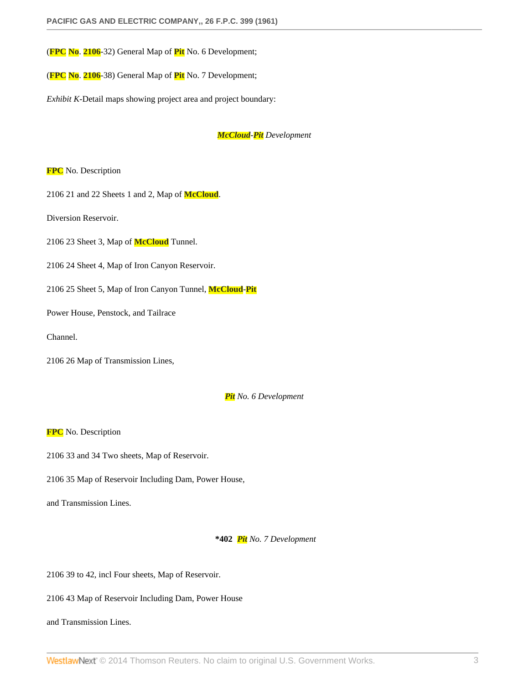(**FPC No**. **2106**-32) General Map of **Pit** No. 6 Development;

(**FPC No**. **2106**-38) General Map of **Pit** No. 7 Development;

*Exhibit K*-Detail maps showing project area and project boundary:

*McCloud-Pit Development*

**FPC** No. Description

2106 21 and 22 Sheets 1 and 2, Map of **McCloud**.

Diversion Reservoir.

2106 23 Sheet 3, Map of **McCloud** Tunnel.

2106 24 Sheet 4, Map of Iron Canyon Reservoir.

2106 25 Sheet 5, Map of Iron Canyon Tunnel, **McCloud**-**Pit**

Power House, Penstock, and Tailrace

Channel.

2106 26 Map of Transmission Lines,

*Pit No. 6 Development*

**FPC** No. Description

2106 33 and 34 Two sheets, Map of Reservoir.

2106 35 Map of Reservoir Including Dam, Power House,

and Transmission Lines.

**\*402** *Pit No. 7 Development*

2106 39 to 42, incl Four sheets, Map of Reservoir.

2106 43 Map of Reservoir Including Dam, Power House

and Transmission Lines.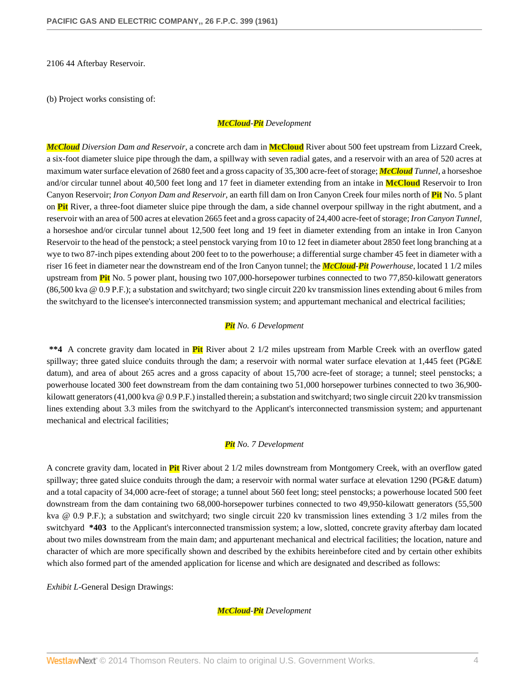2106 44 Afterbay Reservoir.

(b) Project works consisting of:

#### *McCloud-Pit Development*

*McCloud Diversion Dam and Reservoir*, a concrete arch dam in **McCloud** River about 500 feet upstream from Lizzard Creek, a six-foot diameter sluice pipe through the dam, a spillway with seven radial gates, and a reservoir with an area of 520 acres at maximum water surface elevation of 2680 feet and a gross capacity of 35,300 acre-feet of storage; *McCloud Tunnel*, a horseshoe and/or circular tunnel about 40,500 feet long and 17 feet in diameter extending from an intake in **McCloud** Reservoir to Iron Canyon Reservoir; *Iron Conyon Dam and Reservoir*, an earth fill dam on Iron Canyon Creek four miles north of **Pit** No. 5 plant on **Pit** River, a three-foot diameter sluice pipe through the dam, a side channel overpour spillway in the right abutment, and a reservoir with an area of 500 acres at elevation 2665 feet and a gross capacity of 24,400 acre-feet of storage; *Iron Canyon Tunnel*, a horseshoe and/or circular tunnel about 12,500 feet long and 19 feet in diameter extending from an intake in Iron Canyon Reservoir to the head of the penstock; a steel penstock varying from 10 to 12 feet in diameter about 2850 feet long branching at a wye to two 87-inch pipes extending about 200 feet to to the powerhouse; a differential surge chamber 45 feet in diameter with a riser 16 feet in diameter near the downstream end of the Iron Canyon tunnel; the *McCloud-Pit Powerhouse*, located 1 1/2 miles upstream from **Pit** No. 5 power plant, housing two 107,000-horsepower turbines connected to two 77,850-kilowatt generators (86,500 kva @ 0.9 P.F.); a substation and switchyard; two single circuit 220 kv transmission lines extending about 6 miles from the switchyard to the licensee's interconnected transmission system; and appurtemant mechanical and electrical facilities;

#### *Pit No. 6 Development*

**\*\*4** A concrete gravity dam located in **Pit** River about 2 1/2 miles upstream from Marble Creek with an overflow gated spillway; three gated sluice conduits through the dam; a reservoir with normal water surface elevation at 1,445 feet (PG&E datum), and area of about 265 acres and a gross capacity of about 15,700 acre-feet of storage; a tunnel; steel penstocks; a powerhouse located 300 feet downstream from the dam containing two 51,000 horsepower turbines connected to two 36,900 kilowatt generators (41,000 kva @ 0.9 P.F.) installed therein; a substation and switchyard; two single circuit 220 kv transmission lines extending about 3.3 miles from the switchyard to the Applicant's interconnected transmission system; and appurtenant mechanical and electrical facilities;

#### *Pit No. 7 Development*

A concrete gravity dam, located in **Pit** River about 2 1/2 miles downstream from Montgomery Creek, with an overflow gated spillway; three gated sluice conduits through the dam; a reservoir with normal water surface at elevation 1290 (PG&E datum) and a total capacity of 34,000 acre-feet of storage; a tunnel about 560 feet long; steel penstocks; a powerhouse located 500 feet downstream from the dam containing two 68,000-horsepower turbines connected to two 49,950-kilowatt generators (55,500 kva @ 0.9 P.F.); a substation and switchyard; two single circuit 220 kv transmission lines extending 3 1/2 miles from the switchyard **\*403** to the Applicant's interconnected transmission system; a low, slotted, concrete gravity afterbay dam located about two miles downstream from the main dam; and appurtenant mechanical and electrical facilities; the location, nature and character of which are more specifically shown and described by the exhibits hereinbefore cited and by certain other exhibits which also formed part of the amended application for license and which are designated and described as follows:

*Exhibit L*-General Design Drawings:

*McCloud-Pit Development*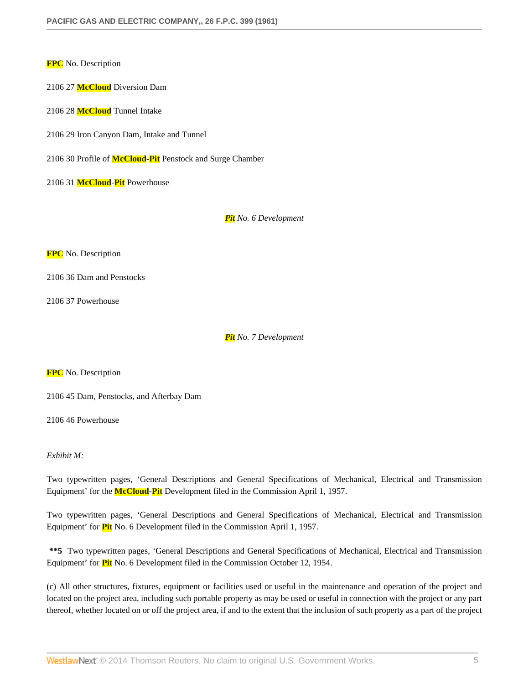**FPC** No. Description

2106 27 **McCloud** Diversion Dam

2106 28 **McCloud** Tunnel Intake

2106 29 Iron Canyon Dam, Intake and Tunnel

2106 30 Profile of **McCloud**-**Pit** Penstock and Surge Chamber

2106 31 **McCloud**-**Pit** Powerhouse

*Pit No. 6 Development*

**FPC** No. Description

2106 36 Dam and Penstocks

2106 37 Powerhouse

*Pit No. 7 Development*

**FPC** No. Description

2106 45 Dam, Penstocks, and Afterbay Dam

2106 46 Powerhouse

#### *Exhibit M:*

Two typewritten pages, 'General Descriptions and General Specifications of Mechanical, Electrical and Transmission Equipment' for the **McCloud**-**Pit** Development filed in the Commission April 1, 1957.

Two typewritten pages, 'General Descriptions and General Specifications of Mechanical, Electrical and Transmission Equipment' for **Pit** No. 6 Development filed in the Commission April 1, 1957.

**\*\*5** Two typewritten pages, 'General Descriptions and General Specifications of Mechanical, Electrical and Transmission Equipment' for **Pit** No. 6 Development filed in the Commission October 12, 1954.

(c) All other structures, fixtures, equipment or facilities used or useful in the maintenance and operation of the project and located on the project area, including such portable property as may be used or useful in connection with the project or any part thereof, whether located on or off the project area, if and to the extent that the inclusion of such property as a part of the project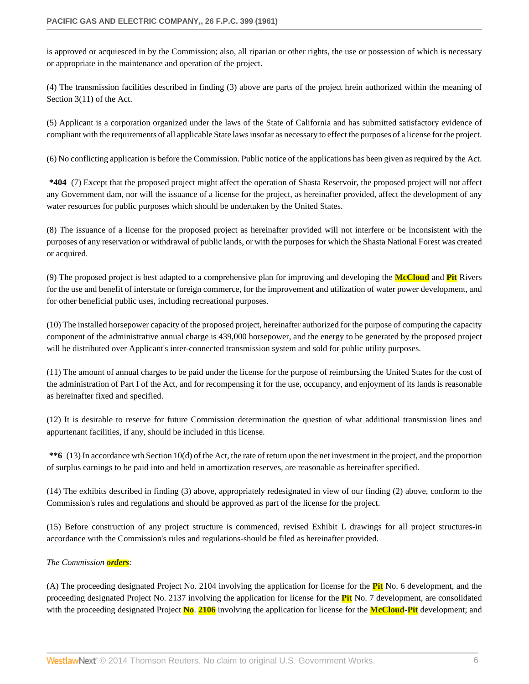is approved or acquiesced in by the Commission; also, all riparian or other rights, the use or possession of which is necessary or appropriate in the maintenance and operation of the project.

(4) The transmission facilities described in finding (3) above are parts of the project hrein authorized within the meaning of Section 3(11) of the Act.

(5) Applicant is a corporation organized under the laws of the State of California and has submitted satisfactory evidence of compliant with the requirements of all applicable State laws insofar as necessary to effect the purposes of a license for the project.

(6) No conflicting application is before the Commission. Public notice of the applications has been given as required by the Act.

**\*404** (7) Except that the proposed project might affect the operation of Shasta Reservoir, the proposed project will not affect any Government dam, nor will the issuance of a license for the project, as hereinafter provided, affect the development of any water resources for public purposes which should be undertaken by the United States.

(8) The issuance of a license for the proposed project as hereinafter provided will not interfere or be inconsistent with the purposes of any reservation or withdrawal of public lands, or with the purposes for which the Shasta National Forest was created or acquired.

(9) The proposed project is best adapted to a comprehensive plan for improving and developing the **McCloud** and **Pit** Rivers for the use and benefit of interstate or foreign commerce, for the improvement and utilization of water power development, and for other beneficial public uses, including recreational purposes.

(10) The installed horsepower capacity of the proposed project, hereinafter authorized for the purpose of computing the capacity component of the administrative annual charge is 439,000 horsepower, and the energy to be generated by the proposed project will be distributed over Applicant's inter-connected transmission system and sold for public utility purposes.

(11) The amount of annual charges to be paid under the license for the purpose of reimbursing the United States for the cost of the administration of Part I of the Act, and for recompensing it for the use, occupancy, and enjoyment of its lands is reasonable as hereinafter fixed and specified.

(12) It is desirable to reserve for future Commission determination the question of what additional transmission lines and appurtenant facilities, if any, should be included in this license.

**\*\*6** (13) In accordance wth Section 10(d) of the Act, the rate of return upon the net investment in the project, and the proportion of surplus earnings to be paid into and held in amortization reserves, are reasonable as hereinafter specified.

(14) The exhibits described in finding (3) above, appropriately redesignated in view of our finding (2) above, conform to the Commission's rules and regulations and should be approved as part of the license for the project.

(15) Before construction of any project structure is commenced, revised Exhibit L drawings for all project structures-in accordance with the Commission's rules and regulations-should be filed as hereinafter provided.

# *The Commission orders:*

(A) The proceeding designated Project No. 2104 involving the application for license for the **Pit** No. 6 development, and the proceeding designated Project No. 2137 involving the application for license for the **Pit** No. 7 development, are consolidated with the proceeding designated Project **No**. **2106** involving the application for license for the **McCloud**-**Pit** development; and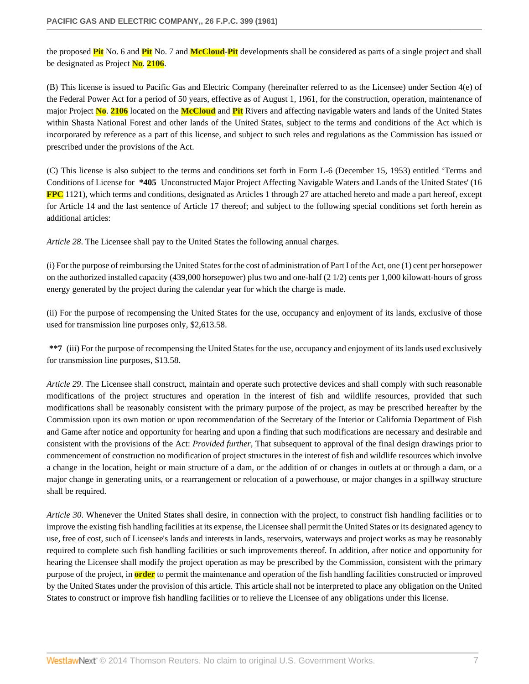the proposed **Pit** No. 6 and **Pit** No. 7 and **McCloud**-**Pit** developments shall be considered as parts of a single project and shall be designated as Project **No**. **2106**.

(B) This license is issued to Pacific Gas and Electric Company (hereinafter referred to as the Licensee) under Section 4(e) of the Federal Power Act for a period of 50 years, effective as of August 1, 1961, for the construction, operation, maintenance of major Project **No**. **2106** located on the **McCloud** and **Pit** Rivers and affecting navigable waters and lands of the United States within Shasta National Forest and other lands of the United States, subject to the terms and conditions of the Act which is incorporated by reference as a part of this license, and subject to such reles and regulations as the Commission has issued or prescribed under the provisions of the Act.

(C) This license is also subject to the terms and conditions set forth in Form L-6 (December 15, 1953) entitled 'Terms and Conditions of License for **\*405** Unconstructed Major Project Affecting Navigable Waters and Lands of the United States' (16 **FPC** 1121), which terms and conditions, designated as Articles 1 through 27 are attached hereto and made a part hereof, except for Article 14 and the last sentence of Article 17 thereof; and subject to the following special conditions set forth herein as additional articles:

*Article 28*. The Licensee shall pay to the United States the following annual charges.

(i) For the purpose of reimbursing the United States for the cost of administration of Part I of the Act, one (1) cent per horsepower on the authorized installed capacity (439,000 horsepower) plus two and one-half (2 1/2) cents per 1,000 kilowatt-hours of gross energy generated by the project during the calendar year for which the charge is made.

(ii) For the purpose of recompensing the United States for the use, occupancy and enjoyment of its lands, exclusive of those used for transmission line purposes only, \$2,613.58.

**\*\*7** (iii) For the purpose of recompensing the United States for the use, occupancy and enjoyment of its lands used exclusively for transmission line purposes, \$13.58.

*Article 29*. The Licensee shall construct, maintain and operate such protective devices and shall comply with such reasonable modifications of the project structures and operation in the interest of fish and wildlife resources, provided that such modifications shall be reasonably consistent with the primary purpose of the project, as may be prescribed hereafter by the Commission upon its own motion or upon recommendation of the Secretary of the Interior or California Department of Fish and Game after notice and opportunity for hearing and upon a finding that such modifications are necessary and desirable and consistent with the provisions of the Act: *Provided further*, That subsequent to approval of the final design drawings prior to commencement of construction no modification of project structures in the interest of fish and wildlife resources which involve a change in the location, height or main structure of a dam, or the addition of or changes in outlets at or through a dam, or a major change in generating units, or a rearrangement or relocation of a powerhouse, or major changes in a spillway structure shall be required.

*Article 30*. Whenever the United States shall desire, in connection with the project, to construct fish handling facilities or to improve the existing fish handling facilities at its expense, the Licensee shall permit the United States or its designated agency to use, free of cost, such of Licensee's lands and interests in lands, reservoirs, waterways and project works as may be reasonably required to complete such fish handling facilities or such improvements thereof. In addition, after notice and opportunity for hearing the Licensee shall modify the project operation as may be prescribed by the Commission, consistent with the primary purpose of the project, in **order** to permit the maintenance and operation of the fish handling facilities constructed or improved by the United States under the provision of this article. This article shall not be interpreted to place any obligation on the United States to construct or improve fish handling facilities or to relieve the Licensee of any obligations under this license.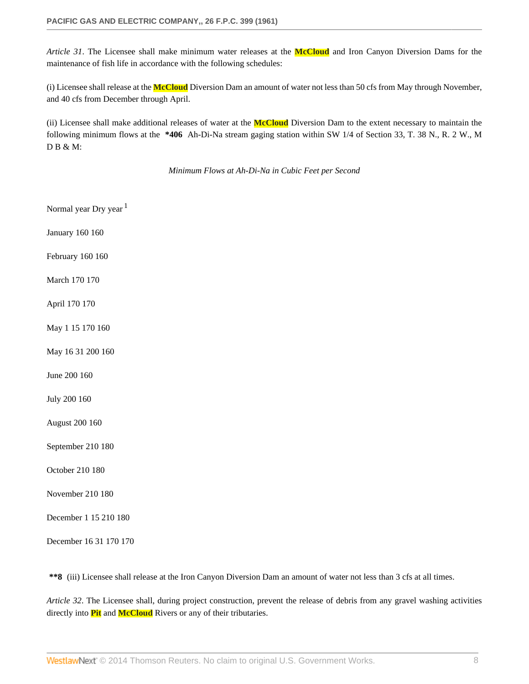*Article 31*. The Licensee shall make minimum water releases at the **McCloud** and Iron Canyon Diversion Dams for the maintenance of fish life in accordance with the following schedules:

(i) Licensee shall release at the **McCloud** Diversion Dam an amount of water not less than 50 cfs from May through November, and 40 cfs from December through April.

(ii) Licensee shall make additional releases of water at the **McCloud** Diversion Dam to the extent necessary to maintain the following minimum flows at the **\*406** Ah-Di-Na stream gaging station within SW 1/4 of Section 33, T. 38 N., R. 2 W., M D B & M:

*Minimum Flows at Ah-Di-Na in Cubic Feet per Second*

Normal year Dry year <sup>1</sup>

January 160 160

February 160 160

March 170 170

April 170 170

May 1 15 170 160

May 16 31 200 160

June 200 160

July 200 160

August 200 160

September 210 180

October 210 180

November 210 180

December 1 15 210 180

December 16 31 170 170

**\*\*8** (iii) Licensee shall release at the Iron Canyon Diversion Dam an amount of water not less than 3 cfs at all times.

*Article 32*. The Licensee shall, during project construction, prevent the release of debris from any gravel washing activities directly into **Pit** and **McCloud** Rivers or any of their tributaries.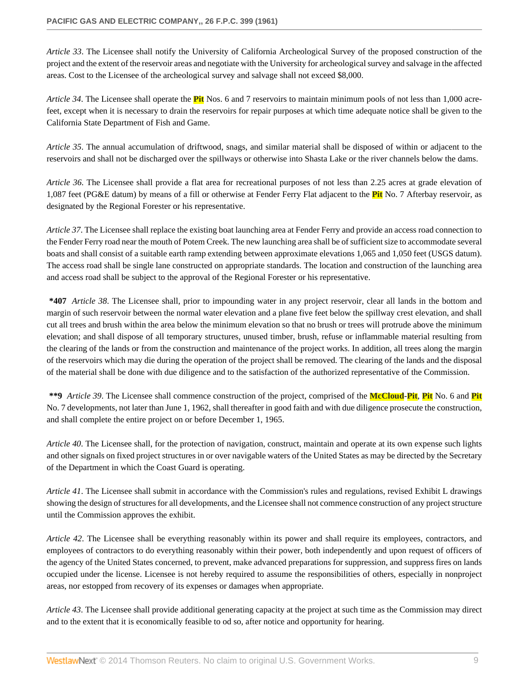*Article 33*. The Licensee shall notify the University of California Archeological Survey of the proposed construction of the project and the extent of the reservoir areas and negotiate with the University for archeological survey and salvage in the affected areas. Cost to the Licensee of the archeological survey and salvage shall not exceed \$8,000.

*Article 34*. The Licensee shall operate the **Pit** Nos. 6 and 7 reservoirs to maintain minimum pools of not less than 1,000 acrefeet, except when it is necessary to drain the reservoirs for repair purposes at which time adequate notice shall be given to the California State Department of Fish and Game.

*Article 35*. The annual accumulation of driftwood, snags, and similar material shall be disposed of within or adjacent to the reservoirs and shall not be discharged over the spillways or otherwise into Shasta Lake or the river channels below the dams.

*Article 36*. The Licensee shall provide a flat area for recreational purposes of not less than 2.25 acres at grade elevation of 1,087 feet (PG&E datum) by means of a fill or otherwise at Fender Ferry Flat adjacent to the **Pit** No. 7 Afterbay reservoir, as designated by the Regional Forester or his representative.

*Article 37*. The Licensee shall replace the existing boat launching area at Fender Ferry and provide an access road connection to the Fender Ferry road near the mouth of Potem Creek. The new launching area shall be of sufficient size to accommodate several boats and shall consist of a suitable earth ramp extending between approximate elevations 1,065 and 1,050 feet (USGS datum). The access road shall be single lane constructed on appropriate standards. The location and construction of the launching area and access road shall be subject to the approval of the Regional Forester or his representative.

**\*407** *Article 38*. The Licensee shall, prior to impounding water in any project reservoir, clear all lands in the bottom and margin of such reservoir between the normal water elevation and a plane five feet below the spillway crest elevation, and shall cut all trees and brush within the area below the minimum elevation so that no brush or trees will protrude above the minimum elevation; and shall dispose of all temporary structures, unused timber, brush, refuse or inflammable material resulting from the clearing of the lands or from the construction and maintenance of the project works. In addition, all trees along the margin of the reservoirs which may die during the operation of the project shall be removed. The clearing of the lands and the disposal of the material shall be done with due diligence and to the satisfaction of the authorized representative of the Commission.

**\*\*9** *Article 39*. The Licensee shall commence construction of the project, comprised of the **McCloud**-**Pit**, **Pit** No. 6 and **Pit** No. 7 developments, not later than June 1, 1962, shall thereafter in good faith and with due diligence prosecute the construction, and shall complete the entire project on or before December 1, 1965.

*Article 40*. The Licensee shall, for the protection of navigation, construct, maintain and operate at its own expense such lights and other signals on fixed project structures in or over navigable waters of the United States as may be directed by the Secretary of the Department in which the Coast Guard is operating.

*Article 41*. The Licensee shall submit in accordance with the Commission's rules and regulations, revised Exhibit L drawings showing the design of structures for all developments, and the Licensee shall not commence construction of any project structure until the Commission approves the exhibit.

*Article 42*. The Licensee shall be everything reasonably within its power and shall require its employees, contractors, and employees of contractors to do everything reasonably within their power, both independently and upon request of officers of the agency of the United States concerned, to prevent, make advanced preparations for suppression, and suppress fires on lands occupied under the license. Licensee is not hereby required to assume the responsibilities of others, especially in nonproject areas, nor estopped from recovery of its expenses or damages when appropriate.

*Article 43*. The Licensee shall provide additional generating capacity at the project at such time as the Commission may direct and to the extent that it is economically feasible to od so, after notice and opportunity for hearing.